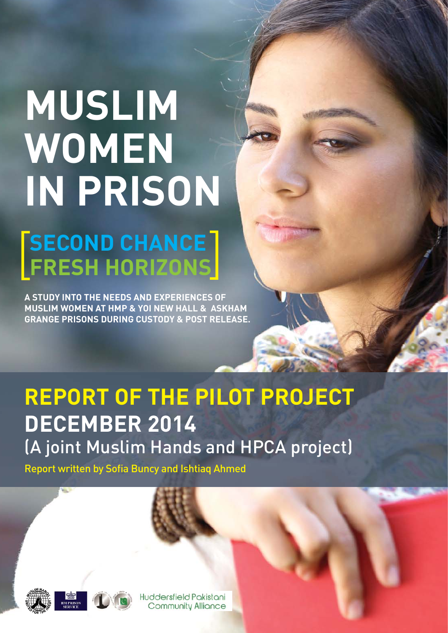# **MUSLIM WOMEN IN PRISON**

## **SECOND CHANCE FRESH HORIZONS**

**A STUDY INTO THE NEEDS AND EXPERIENCES OF MUSLIM WOMEN AT HMP & YOI NEW HALL & ASKHAM GRANGE PRISONS DURING CUSTODY & POST RELEASE.**

## **REPORT OF THE PILOT PROJECT DECEMBER 2014** (A joint Muslim Hands and HPCA project)

Report written by Sofia Buncy and Ishtiaq Ahmed





Huddersfield Pakistani **Community Alliance**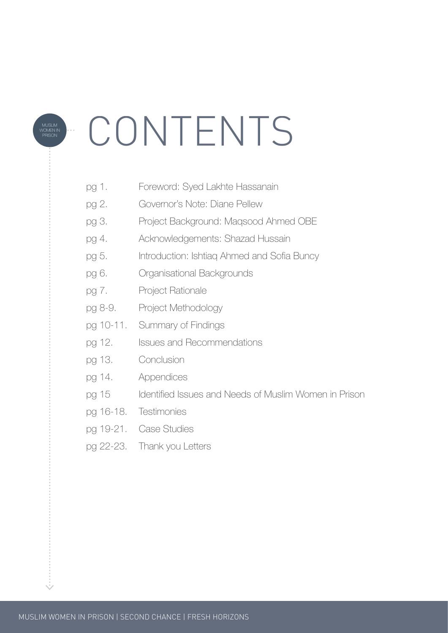# CONTENTS

- pg 1. Foreword: Syed Lakhte Hassanain
- pg 2. Governor's Note: Diane Pellew
- pg 3. Project Background: Maqsood Ahmed OBE
- pg 4. Acknowledgements: Shazad Hussain
- pg 5. Introduction: Ishtiaq Ahmed and Sofia Buncy
- pg 6. Organisational Backgrounds
- pg 7. Project Rationale

MUSLIM WOMEN IN PRISON

- pg 8-9. Project Methodology
- pg 10-11. Summary of Findings
- pg 12. Issues and Recommendations
- pg 13. Conclusion
- pg 14. Appendices
- pg 15 Identified Issues and Needs of Muslim Women in Prison
- pg 16-18. Testimonies
- pg 19-21. Case Studies
- pg 22-23. Thank you Letters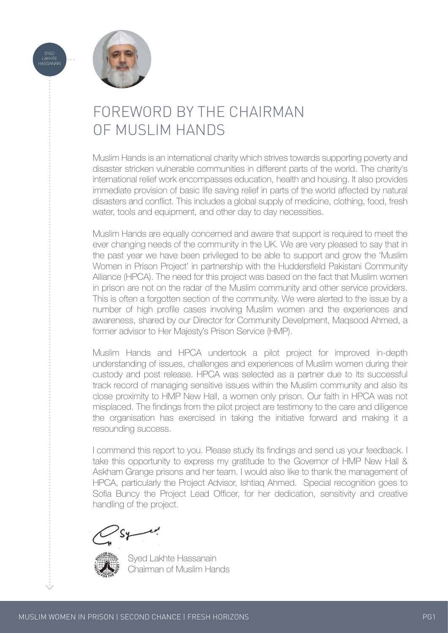

SYED<br>LAKHTE<br>HASSANAIN

## FOREWORD BY THE CHAIRMAN OF MUSLIM HANDS

Muslim Hands is an international charity which strives towards supporting poverty and disaster stricken vulnerable communities in different parts of the world. The charity's international relief work encompasses education, health and housing. It also provides immediate provision of basic life saving relief in parts of the world affected by natural disasters and conflict. This includes a global supply of medicine, clothing, food, fresh water, tools and equipment, and other day to day necessities.

Muslim Hands are equally concerned and aware that support is required to meet the ever changing needs of the community in the UK. We are very pleased to say that in the past year we have been privileged to be able to support and grow the 'Muslim Women in Prison Project' in partnership with the Huddersfield Pakistani Community Alliance (HPCA). The need for this project was based on the fact that Muslim women in prison are not on the radar of the Muslim community and other service providers. This is often a forgotten section of the community. We were alerted to the issue by a number of high profile cases involving Muslim women and the experiences and awareness, shared by our Director for Community Develpment, Maqsood Ahmed, a former advisor to Her Majesty's Prison Service (HMP).

Muslim Hands and HPCA undertook a pilot project for improved in-depth understanding of issues, challenges and experiences of Muslim women during their custody and post release. HPCA was selected as a partner due to its successful track record of managing sensitive issues within the Muslim community and also its close proximity to HMP New Hall, a women only prison. Our faith in HPCA was not misplaced. The findings from the pilot project are testimony to the care and diligence the organisation has exercised in taking the initiative forward and making it a resounding success.

I commend this report to you. Please study its findings and send us your feedback. I take this opportunity to express my gratitude to the Governor of HMP New Hall & Askham Grange prisons and her team. I would also like to thank the management of HPCA, particularly the Project Advisor, Ishtiaq Ahmed. Special recognition goes to Sofia Buncy the Project Lead Officer, for her dedication, sensitivity and creative handling of the project.



 Syed Lakhte Hassanain Chairman of Muslim Hands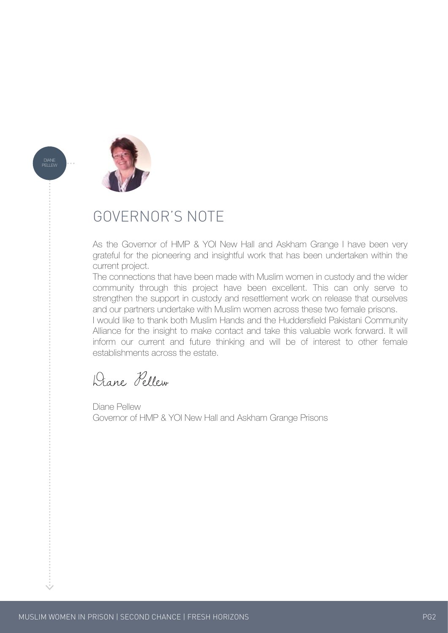

DIANE PELLEW

## GOVERNOR'S NOTE

As the Governor of HMP & YOI New Hall and Askham Grange I have been very grateful for the pioneering and insightful work that has been undertaken within the current project.

The connections that have been made with Muslim women in custody and the wider community through this project have been excellent. This can only serve to strengthen the support in custody and resettlement work on release that ourselves and our partners undertake with Muslim women across these two female prisons.

I would like to thank both Muslim Hands and the Huddersfield Pakistani Community Alliance for the insight to make contact and take this valuable work forward. It will inform our current and future thinking and will be of interest to other female establishments across the estate.

Diane Pellew

Diane Pellew Governor of HMP & YOI New Hall and Askham Grange Prisons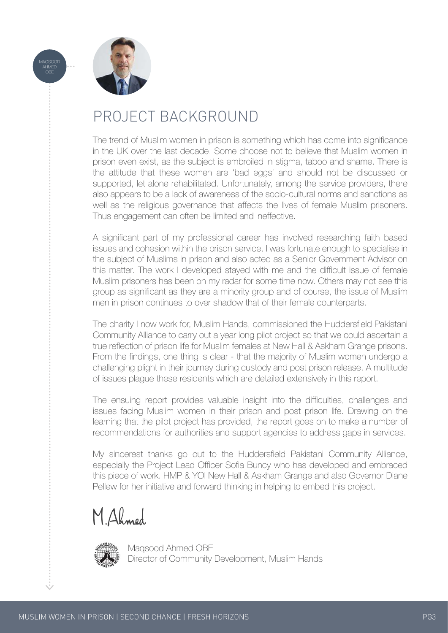



## PROJECT BACKGROUND

The trend of Muslim women in prison is something which has come into significance in the UK over the last decade. Some choose not to believe that Muslim women in prison even exist, as the subject is embroiled in stigma, taboo and shame. There is the attitude that these women are 'bad eggs' and should not be discussed or supported, let alone rehabilitated. Unfortunately, among the service providers, there also appears to be a lack of awareness of the socio-cultural norms and sanctions as well as the religious governance that affects the lives of female Muslim prisoners. Thus engagement can often be limited and ineffective.

A significant part of my professional career has involved researching faith based issues and cohesion within the prison service. I was fortunate enough to specialise in the subject of Muslims in prison and also acted as a Senior Government Advisor on this matter. The work I developed stayed with me and the difficult issue of female Muslim prisoners has been on my radar for some time now. Others may not see this group as significant as they are a minority group and of course, the issue of Muslim men in prison continues to over shadow that of their female counterparts.

The charity I now work for, Muslim Hands, commissioned the Huddersfield Pakistani Community Alliance to carry out a year long pilot project so that we could ascertain a true reflection of prison life for Muslim females at New Hall & Askham Grange prisons. From the findings, one thing is clear - that the majority of Muslim women undergo a challenging plight in their journey during custody and post prison release. A multitude of issues plague these residents which are detailed extensively in this report.

The ensuing report provides valuable insight into the difficulties, challenges and issues facing Muslim women in their prison and post prison life. Drawing on the learning that the pilot project has provided, the report goes on to make a number of recommendations for authorities and support agencies to address gaps in services.

My sincerest thanks go out to the Huddersfield Pakistani Community Alliance, especially the Project Lead Officer Sofia Buncy who has developed and embraced this piece of work. HMP & YOI New Hall & Askham Grange and also Governor Diane Pellew for her initiative and forward thinking in helping to embed this project.

**M.Ahmed**



 Maqsood Ahmed OBE Director of Community Development, Muslim Hands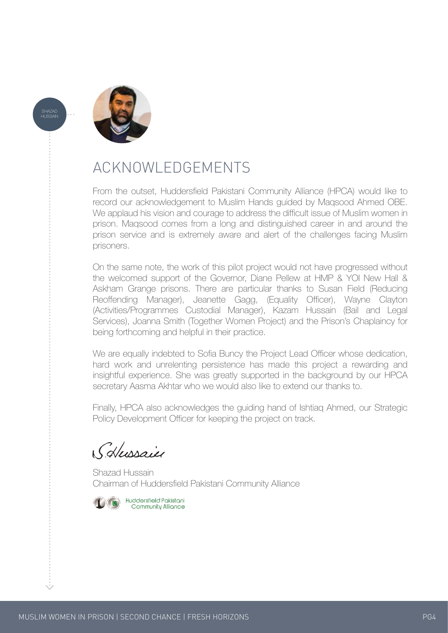

SHAZAD HUSSAIN

## ACKNOWLEDGEMENTS

From the outset, Huddersfield Pakistani Community Alliance (HPCA) would like to record our acknowledgement to Muslim Hands guided by Maqsood Ahmed OBE. We applaud his vision and courage to address the difficult issue of Muslim women in prison. Maqsood comes from a long and distinguished career in and around the prison service and is extremely aware and alert of the challenges facing Muslim prisoners.

On the same note, the work of this pilot project would not have progressed without the welcomed support of the Governor, Diane Pellew at HMP & YOI New Hall & Askham Grange prisons. There are particular thanks to Susan Field (Reducing Reoffending Manager), Jeanette Gagg, (Equality Officer), Wayne Clayton (Activities/Programmes Custodial Manager), Kazam Hussain (Bail and Legal Services), Joanna Smith (Together Women Project) and the Prison's Chaplaincy for being forthcoming and helpful in their practice.

We are equally indebted to Sofia Buncy the Project Lead Officer whose dedication, hard work and unrelenting persistence has made this project a rewarding and insightful experience. She was greatly supported in the background by our HPCA secretary Aasma Akhtar who we would also like to extend our thanks to.

Finally, HPCA also acknowledges the guiding hand of Ishtiaq Ahmed, our Strategic Policy Development Officer for keeping the project on track.

S.Hussain

Shazad Hussain Chairman of Huddersfield Pakistani Community Alliance

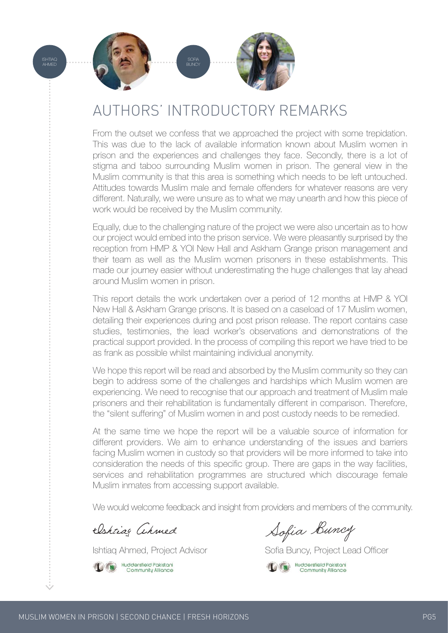

## AUTHORS' INTRODUCTORY REMARKS

From the outset we confess that we approached the project with some trepidation. This was due to the lack of available information known about Muslim women in prison and the experiences and challenges they face. Secondly, there is a lot of stigma and taboo surrounding Muslim women in prison. The general view in the Muslim community is that this area is something which needs to be left untouched. Attitudes towards Muslim male and female offenders for whatever reasons are very different. Naturally, we were unsure as to what we may unearth and how this piece of work would be received by the Muslim community.

Equally, due to the challenging nature of the project we were also uncertain as to how our project would embed into the prison service. We were pleasantly surprised by the reception from HMP & YOI New Hall and Askham Grange prison management and their team as well as the Muslim women prisoners in these establishments. This made our journey easier without underestimating the huge challenges that lay ahead around Muslim women in prison.

This report details the work undertaken over a period of 12 months at HMP & YOI New Hall & Askham Grange prisons. It is based on a caseload of 17 Muslim women, detailing their experiences during and post prison release. The report contains case studies, testimonies, the lead worker's observations and demonstrations of the practical support provided. In the process of compiling this report we have tried to be as frank as possible whilst maintaining individual anonymity.

We hope this report will be read and absorbed by the Muslim community so they can begin to address some of the challenges and hardships which Muslim women are experiencing. We need to recognise that our approach and treatment of Muslim male prisoners and their rehabilitation is fundamentally different in comparison. Therefore, the "silent suffering" of Muslim women in and post custody needs to be remedied.

At the same time we hope the report will be a valuable source of information for different providers. We aim to enhance understanding of the issues and barriers facing Muslim women in custody so that providers will be more informed to take into consideration the needs of this specific group. There are gaps in the way facilities, services and rehabilitation programmes are structured which discourage female Muslim inmates from accessing support available.

We would welcome feedback and insight from providers and members of the community.



Ishtiaq Ahmed Sofia Buncy

Ishtiag Ahmed, Project Advisor Sofia Buncy, Project Lead Officer

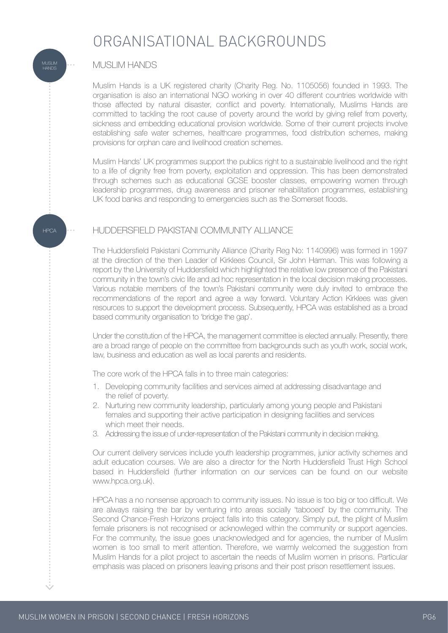## ORGANISATIONAL BACKGROUNDS

### MUSLIM HANDS

Muslim Hands is a UK registered charity (Charity Reg. No. 1105056) founded in 1993. The organisation is also an international NGO working in over 40 different countries worldwide with those affected by natural disaster, conflict and poverty. Internationally, Muslims Hands are committed to tackling the root cause of poverty around the world by giving relief from poverty, sickness and embedding educational provision worldwide. Some of their current projects involve establishing safe water schemes, healthcare programmes, food distribution schemes, making provisions for orphan care and livelihood creation schemes.

Muslim Hands' UK programmes support the publics right to a sustainable livelihood and the right to a life of dignity free from poverty, exploitation and oppression. This has been demonstrated through schemes such as educational GCSE booster classes, empowering women through leadership programmes, drug awareness and prisoner rehabilitation programmes, establishing UK food banks and responding to emergencies such as the Somerset floods.

### HUDDERSFIELD PAKISTANI COMMUNITY ALLIANCE

The Huddersfield Pakistani Community Alliance (Charity Reg No: 1140996) was formed in 1997 at the direction of the then Leader of Kirklees Council, Sir John Harman. This was following a report by the University of Huddersfield which highlighted the relative low presence of the Pakistani community in the town's civic life and ad hoc representation in the local decision making processes. Various notable members of the town's Pakistani community were duly invited to embrace the recommendations of the report and agree a way forward. Voluntary Action Kirklees was given resources to support the development process. Subsequently, HPCA was established as a broad based community organisation to 'bridge the gap'.

Under the constitution of the HPCA, the management committee is elected annually. Presently, there are a broad range of people on the committee from backgrounds such as youth work, social work, law, business and education as well as local parents and residents.

The core work of the HPCA falls in to three main categories:

- 1. Developing community facilities and services aimed at addressing disadvantage and the relief of poverty.
- 2. Nurturing new community leadership, particularly among young people and Pakistani females and supporting their active participation in designing facilities and services which meet their needs.
- 3. Addressing the issue of under-representation of the Pakistani community in decision making.

Our current delivery services include youth leadership programmes, junior activity schemes and adult education courses. We are also a director for the North Huddersfield Trust High School based in Huddersfield (further information on our services can be found on our website www.hpca.org.uk).

HPCA has a no nonsense approach to community issues. No issue is too big or too difficult. We are always raising the bar by venturing into areas socially 'tabooed' by the community. The Second Chance-Fresh Horizons project falls into this category. Simply put, the plight of Muslim female prisoners is not recognised or acknowleged within the community or support agencies. For the community, the issue goes unacknowledged and for agencies, the number of Muslim women is too small to merit attention. Therefore, we warmly welcomed the suggestion from Muslim Hands for a pilot project to ascertain the needs of Muslim women in prisons. Particular emphasis was placed on prisoners leaving prisons and their post prison resettlement issues.

**HPCA** 

MUSLIM HANDS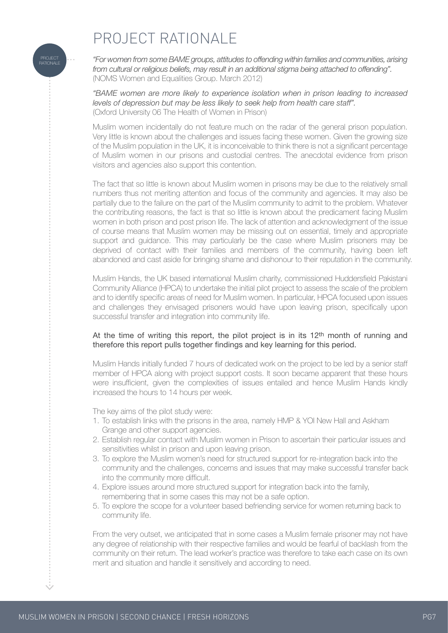## PROJECT RATIONALE

*"For women from some BAME groups, attitudes to offending within families and communities, arising from cultural or religious beliefs, may result in an additional stigma being attached to offending".* (NOMS Women and Equalities Group. March 2012)

*"BAME women are more likely to experience isolation when in prison leading to increased levels of depression but may be less likely to seek help from health care staff".* (Oxford University 06 The Health of Women in Prison)

Muslim women incidentally do not feature much on the radar of the general prison population. Very little is known about the challenges and issues facing these women. Given the growing size of the Muslim population in the UK, it is inconceivable to think there is not a significant percentage of Muslim women in our prisons and custodial centres. The anecdotal evidence from prison visitors and agencies also support this contention.

The fact that so little is known about Muslim women in prisons may be due to the relatively small numbers thus not meriting attention and focus of the community and agencies. It may also be partially due to the failure on the part of the Muslim community to admit to the problem. Whatever the contributing reasons, the fact is that so little is known about the predicament facing Muslim women in both prison and post prison life. The lack of attention and acknowledgment of the issue of course means that Muslim women may be missing out on essential, timely and appropriate support and guidance. This may particularly be the case where Muslim prisoners may be deprived of contact with their families and members of the community, having been left abandoned and cast aside for bringing shame and dishonour to their reputation in the community.

Muslim Hands, the UK based international Muslim charity, commissioned Huddersfield Pakistani Community Alliance (HPCA) to undertake the initial pilot project to assess the scale of the problem and to identify specific areas of need for Muslim women. In particular, HPCA focused upon issues and challenges they envisaged prisoners would have upon leaving prison, specifically upon successful transfer and integration into community life.

#### At the time of writing this report, the pilot project is in its  $12<sup>th</sup>$  month of running and therefore this report pulls together findings and key learning for this period.

Muslim Hands initially funded 7 hours of dedicated work on the project to be led by a senior staff member of HPCA along with project support costs. It soon became apparent that these hours were insufficient, given the complexities of issues entailed and hence Muslim Hands kindly increased the hours to 14 hours per week.

The key aims of the pilot study were:

- 1. To establish links with the prisons in the area, namely HMP & YOI New Hall and Askham Grange and other support agencies.
- 2. Establish regular contact with Muslim women in Prison to ascertain their particular issues and sensitivities whilst in prison and upon leaving prison.
- 3. To explore the Muslim women's need for structured support for re-integration back into the community and the challenges, concerns and issues that may make successful transfer back into the community more difficult.
- 4. Explore issues around more structured support for integration back into the family, remembering that in some cases this may not be a safe option.
- 5. To explore the scope for a volunteer based befriending service for women returning back to community life.

From the very outset, we anticipated that in some cases a Muslim female prisoner may not have any degree of relationship with their respective families and would be fearful of backlash from the community on their return. The lead worker's practice was therefore to take each case on its own merit and situation and handle it sensitively and according to need.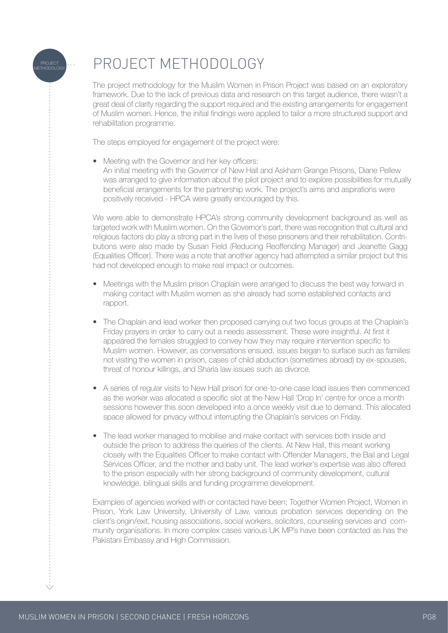

## PROJECT METHODOLOGY

The project methodology for the Muslim Women in Prison Project was based on an exploratory framework. Due to the lack of previous data and research on this target audience, there wasn't a great deal of clarity regarding the support required and the existing arrangements for engagement of Muslim women. Hence, the initial findings were applied to tailor a more structured support and rehabilitation programme.

The steps employed for engagement of the project were:

• Meeting with the Governor and her key officers:

 An initial meeting with the Governor of New Hall and Askham Grange Prisons, Diane Pellew was arranged to give information about the pilot project and to explore possibilities for mutually beneficial arrangements for the partnership work. The project's aims and aspirations were positively received - HPCA were greatly encouraged by this.

We were able to demonstrate HPCA's strong community development background as well as targeted work with Muslim women. On the Governor's part, there was recognition that cultural and religious factors do play a strong part in the lives of these prisoners and their rehabilitation. Contributions were also made by Susan Field (Reducing Reoffending Manager) and Jeanette Gagg (Equalities Officer). There was a note that another agency had attempted a similar project but this had not developed enough to make real impact or outcomes.

- Meetings with the Muslim prison Chaplain were arranged to discuss the best way forward in making contact with Muslim women as she already had some established contacts and rapport.
- The Chaplain and lead worker then proposed carrying out two focus groups at the Chaplain's Friday prayers in order to carry out a needs assessment. These were insightful. At first it appeared the females struggled to convey how they may require intervention specific to Muslim women. However, as conversations ensued, issues began to surface such as families not visiting the women in prison, cases of child abduction (sometimes abroad) by ex-spouses, threat of honour killings, and Sharia law issues such as divorce.
- A series of regular visits to New Hall prison for one-to-one case load issues then commenced as the worker was allocated a specific slot at the New Hall 'Drop In' centre for once a month sessions however this soon developed into a once weekly visit due to demand. This allocated space allowed for privacy without interrupting the Chaplain's services on Friday.
- The lead worker managed to mobilise and make contact with services both inside and outside the prison to address the queries of the clients. At New Hall, this meant working closely with the Equalities Officer to make contact with Offender Managers, the Bail and Legal Services Officer, and the mother and baby unit. The lead worker's expertise was also offered to the prison especially with her strong background of community development, cultural knowledge, bilingual skills and funding programme development.

Examples of agencies worked with or contacted have been; Together Women Project, Women in Prison, York Law University, University of Law, various probation services depending on the client's origin/exit, housing associations, social workers, solicitors, counseling services and community organisations. In more complex cases various UK MP's have been contacted as has the Pakistani Embassy and High Commission.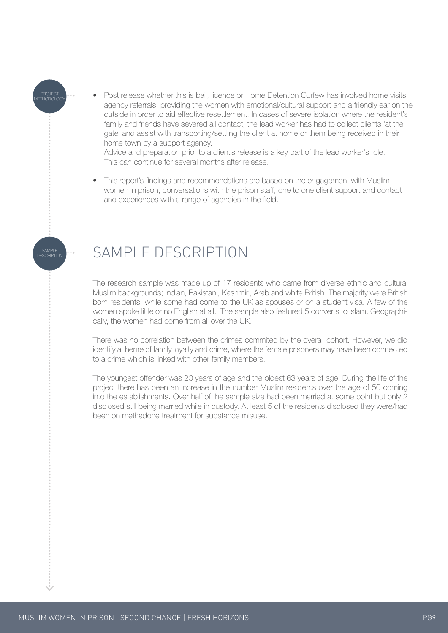• Post release whether this is bail, licence or Home Detention Curfew has involved home visits, agency referrals, providing the women with emotional/cultural support and a friendly ear on the outside in order to aid effective resettlement. In cases of severe isolation where the resident's family and friends have severed all contact, the lead worker has had to collect clients 'at the gate' and assist with transporting/settling the client at home or them being received in their home town by a support agency.

 Advice and preparation prior to a client's release is a key part of the lead worker's role. This can continue for several months after release.

• This report's findings and recommendations are based on the engagement with Muslim women in prison, conversations with the prison staff, one to one client support and contact and experiences with a range of agencies in the field.

## SAMPLE DESCRIPTION

PROJECT METHODOLOGY

SAMPLE DESCRIPTION

The research sample was made up of 17 residents who came from diverse ethnic and cultural Muslim backgrounds; Indian, Pakistani, Kashmiri, Arab and white British. The majority were British born residents, while some had come to the UK as spouses or on a student visa. A few of the women spoke little or no English at all. The sample also featured 5 converts to Islam. Geographically, the women had come from all over the UK.

There was no correlation between the crimes commited by the overall cohort. However, we did identify a theme of family loyalty and crime, where the female prisoners may have been connected to a crime which is linked with other family members.

The youngest offender was 20 years of age and the oldest 63 years of age. During the life of the project there has been an increase in the number Muslim residents over the age of 50 coming into the establishments. Over half of the sample size had been married at some point but only 2 disclosed still being married while in custody. At least 5 of the residents disclosed they were/had been on methadone treatment for substance misuse.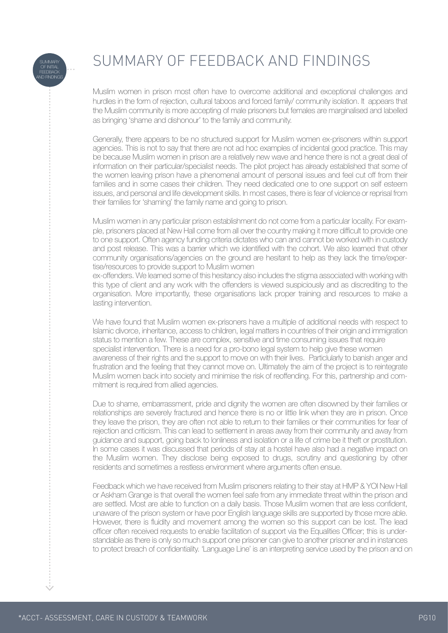

 $\frac{1}{2}$ 

## SUMMARY OF FEEDBACK AND FINDINGS

Muslim women in prison most often have to overcome additional and exceptional challenges and hurdles in the form of rejection, cultural taboos and forced family/ community isolation. It appears that the Muslim community is more accepting of male prisoners but females are marginalised and labelled as bringing 'shame and dishonour' to the family and community.

Generally, there appears to be no structured support for Muslim women ex-prisoners within support agencies. This is not to say that there are not ad hoc examples of incidental good practice. This may be because Muslim women in prison are a relatively new wave and hence there is not a great deal of information on their particular/specialist needs. The pilot project has already established that some of the women leaving prison have a phenomenal amount of personal issues and feel cut off from their families and in some cases their children. They need dedicated one to one support on self esteem issues, and personal and life development skills. In most cases, there is fear of violence or reprisal from their families for 'shaming' the family name and going to prison.

Muslim women in any particular prison establishment do not come from a particular locality. For example, prisoners placed at New Hall come from all over the country making it more difficult to provide one to one support. Often agency funding criteria dictates who can and cannot be worked with in custody and post release. This was a barrier which we identified with the cohort. We also learned that other community organisations/agencies on the ground are hesitant to help as they lack the time/expertise/resources to provide support to Muslim women

ex-offenders. We learned some of this hesitancy also includes the stigma associated with working with this type of client and any work with the offenders is viewed suspiciously and as discrediting to the organisation. More importantly, these organisations lack proper training and resources to make a lasting intervention.

We have found that Muslim women ex-prisoners have a multiple of additional needs with respect to Islamic divorce, inheritance, access to children, legal matters in countries of their origin and immigration status to mention a few. These are complex, sensitive and time consuming issues that require specialist intervention. There is a need for a pro-bono legal system to help give these women awareness of their rights and the support to move on with their lives. Particlularly to banish anger and frustration and the feeling that they cannot move on. Ultimately the aim of the project is to reintegrate Muslim women back into society and minimise the risk of reoffending. For this, partnership and commitment is required from allied agencies.

Due to shame, embarrassment, pride and dignity the women are often disowned by their families or relationships are severely fractured and hence there is no or little link when they are in prison. Once they leave the prison, they are often not able to return to their families or their communities for fear of rejection and criticism. This can lead to settlement in areas away from their community and away from guidance and support, going back to lonliness and isolation or a life of crime be it theft or prostitution. In some cases it was discussed that periods of stay at a hostel have also had a negative impact on the Muslim women. They disclose being exposed to drugs, scrutiny and questioning by other residents and sometimes a restless environment where arguments often ensue.

Feedback which we have received from Muslim prisoners relating to their stay at HMP & YOI New Hall or Askham Grange is that overall the women feel safe from any immediate threat within the prison and are settled. Most are able to function on a daily basis. Those Muslim women that are less confident, unaware of the prison system or have poor English language skills are supported by those more able. However, there is fluidity and movement among the women so this support can be lost. The lead officer often received requests to enable facilitation of support via the Equalities Officer; this is understandable as there is only so much support one prisoner can give to another prisoner and in instances to protect breach of confidentiality. 'Language Line' is an interpreting service used by the prison and on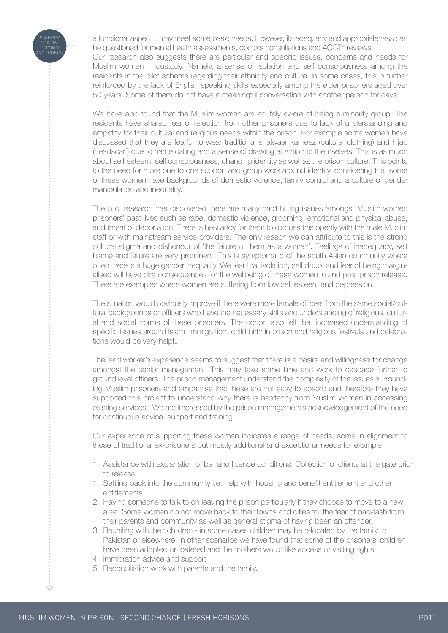

 $\frac{1}{2}$ 

a functional aspect it may meet some basic needs. However, its adequacy and appropriateness can be questioned for mental health assessments, doctors consultations and ACCT\* reviews.

Our research also suggests there are particular and specific issues, concerns and needs for Muslim women in custody. Namely, a sense of isolation and self consciousness among the residents in the pilot scheme regarding their ethnicity and culture. In some cases, this is further reinforced by the lack of English speaking skills especially among the elder prisoners aged over 50 years. Some of them do not have a meaningful conversation with another person for days.

We have also found that the Muslim women are acutely aware of being a minority group. The residents have shared fear of rejection from other prisoners due to lack of understanding and empathy for their cultural and religious needs within the prison. For example some women have discussed that they are fearful to wear traditional shalwaar kameez (cultural clothing) and hijab (headscarf) due to name calling and a sense of drawing attention to themselves. This is as much about self esteem, self consciousness, changing identity as well as the prison culture. This points to the need for more one to one support and group work around identity, considering that some of these women have backgrounds of domestic violence, family control and a culture of gender manipulation and inequality.

The pilot research has discovered there are many hard hitting issues amongst Muslim women prisoners' past lives such as rape, domestic violence, grooming, emotional and physical abuse, and threat of deportation. There is hesitancy for them to discuss this openly with the male Muslim staff or with mainstream service providers. The only reason we can attribute to this is the strong cultural stigma and dishonour of 'the failure of them as a woman'. Feelings of inadequacy, self blame and failure are very prominent. This is symptomatic of the south Asian community where often there is a huge gender inequality. We fear that isolation, self doubt and fear of being marginalised will have dire consequences for the wellbeing of these women in and post prison release. There are examples where women are suffering from low self esteem and depression.

The situation would obviously improve if there were more female officers from the same social/cultural backgrounds or officers who have the necessary skills and understanding of religious, cultural and social norms of these prisoners. The cohort also felt that increased understanding of specific issues around Islam, immigration, child birth in prison and religious festivals and celebrations would be very helpful.

The lead worker's experience seems to suggest that there is a desire and willingness for change amongst the senior management. This may take some time and work to cascade further to ground level officers. The prison management understand the complexity of the issues surrounding Muslim prisoners and empathise that these are not easy to absorb and therefore they have supported this project to understand why there is hesitancy from Muslim women in accessing existing services. We are impressed by the prison management's acknowledgement of the need for continuous advice, support and training.

Our experience of supporting these women indicates a range of needs, some in alignment to those of traditional ex-prisoners but mostly additional and exceptional needs for example:

- 1. Assistance with explanation of bail and licence conditions. Collection of clients at the gate prior to release.
- 1. Settling back into the community i.e. help with housing and benefit entitlement and other entitlements.
- 2. Having someone to talk to on leaving the prison particularly if they choose to move to a new area. Some women do not move back to their towns and cities for the fear of backlash from their parents and community as well as general stigma of having been an offender.
- 3. Reuniting with their children in some cases children may be relocated by the family to Pakistan or elsewhere. In other scenarios we have found that some of the prisoners' children have been adopted or fostered and the mothers would like access or visiting rights.
- 4. Immigration advice and support
- 5. Reconciliation work with parents and the family.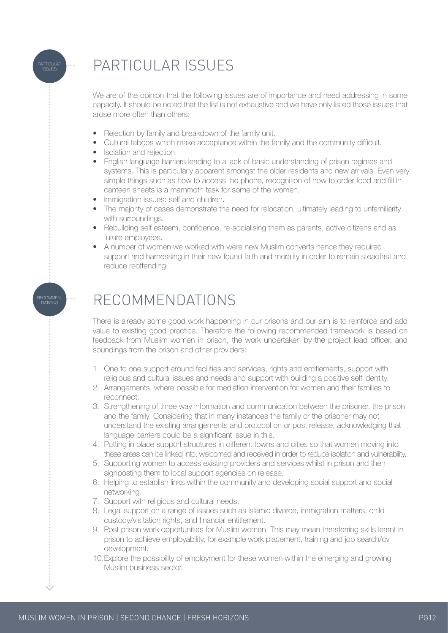

We are of the opinion that the following issues are of importance and need addressing in some capacity. It should be noted that the list is not exhaustive and we have only listed those issues that arose more often than others:

- Rejection by family and breakdown of the family unit.
- Cultural taboos which make acceptance within the family and the community difficult.
- Isolation and rejection.

**PARTICULAR** ISSUES

RECOMMEN-DATIONS

- English language barriers leading to a lack of basic understanding of prison regimes and systems. This is particularly apparent amongst the older residents and new arrivals. Even very simple things such as how to access the phone, recognition of how to order food and fill in canteen sheets is a mammoth task for some of the women.
- Immigration issues: self and children.
- The majority of cases demonstrate the need for relocation, ultimately leading to unfamiliarity with surroundings.
- Rebuilding self esteem, confidence, re-socialising them as parents, active citizens and as future employees.
- A number of women we worked with were new Muslim converts hence they required support and harnessing in their new found faith and morality in order to remain steadfast and reduce reoffending.

## RECOMMENDATIONS

There is already some good work happening in our prisons and our aim is to reinforce and add value to existing good practice. Therefore the following recommended framework is based on feedback from Muslim women in prison, the work undertaken by the project lead officer, and soundings from the prison and other providers:

- 1. One to one support around facilities and services, rights and entitlements, support with religious and cultural issues and needs and support with building a positive self identity.
- 2. Arrangements, where possible for mediation intervention for women and their families to reconnect.
- 3. Strengthening of three way information and communication between the prisoner, the prison and the family. Considering that in many instances the family or the prisoner may not understand the existing arrangements and protocol on or post release, acknowledging that language barriers could be a significant issue in this.
- 4. Putting in place support structures in different towns and cities so that women moving into these areas can be linked into, welcomed and received in order to reduce isolation and vulnerability.
- 5. Supporting women to access existing providers and services whilst in prison and then signposting them to local support agencies on release.
- 6. Helping to establish links within the community and developing social support and social networking.
- 7. Support with religious and cultural needs.
- 8. Legal support on a range of issues such as Islamic divorce, immigration matters, child custody/visitation rights, and financial entitlement.
- 9. Post prison work opportunities for Muslim women. This may mean transferring skills learnt in prison to achieve employability, for example work placement, training and job search/cv development.
- 10. Explore the possibility of employment for these women within the emerging and growing Muslim business sector.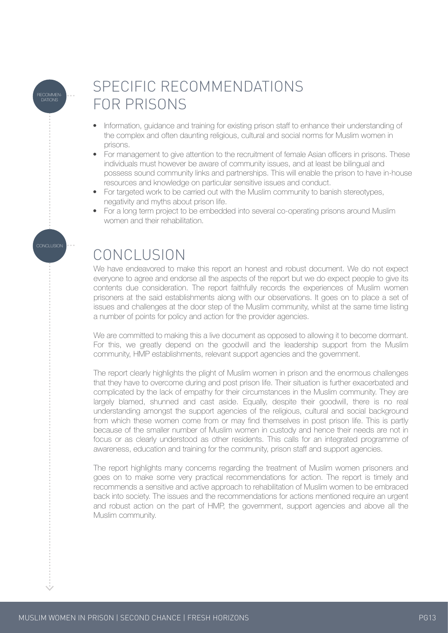

CONCLUSION

## SPECIFIC RECOMMENDATIONS FOR PRISONS

- Information, guidance and training for existing prison staff to enhance their understanding of the complex and often daunting religious, cultural and social norms for Muslim women in prisons.
- For management to give attention to the recruitment of female Asian officers in prisons. These individuals must however be aware of community issues, and at least be bilingual and possess sound community links and partnerships. This will enable the prison to have in-house resources and knowledge on particular sensitive issues and conduct.
- For targeted work to be carried out with the Muslim community to banish stereotypes, negativity and myths about prison life.
- For a long term project to be embedded into several co-operating prisons around Muslim women and their rehabilitation.

## **CONCLUSION**

We have endeavored to make this report an honest and robust document. We do not expect everyone to agree and endorse all the aspects of the report but we do expect people to give its contents due consideration. The report faithfully records the experiences of Muslim women prisoners at the said establishments along with our observations. It goes on to place a set of issues and challenges at the door step of the Muslim community, whilst at the same time listing a number of points for policy and action for the provider agencies.

We are committed to making this a live document as opposed to allowing it to become dormant. For this, we greatly depend on the goodwill and the leadership support from the Muslim community, HMP establishments, relevant support agencies and the government.

The report clearly highlights the plight of Muslim women in prison and the enormous challenges that they have to overcome during and post prison life. Their situation is further exacerbated and complicated by the lack of empathy for their circumstances in the Muslim community. They are largely blamed, shunned and cast aside. Equally, despite their goodwill, there is no real understanding amongst the support agencies of the religious, cultural and social background from which these women come from or may find themselves in post prison life. This is partly because of the smaller number of Muslim women in custody and hence their needs are not in focus or as clearly understood as other residents. This calls for an integrated programme of awareness, education and training for the community, prison staff and support agencies.

The report highlights many concerns regarding the treatment of Muslim women prisoners and goes on to make some very practical recommendations for action. The report is timely and recommends a sensitive and active approach to rehabilitation of Muslim women to be embraced back into society. The issues and the recommendations for actions mentioned require an urgent and robust action on the part of HMP, the government, support agencies and above all the Muslim community.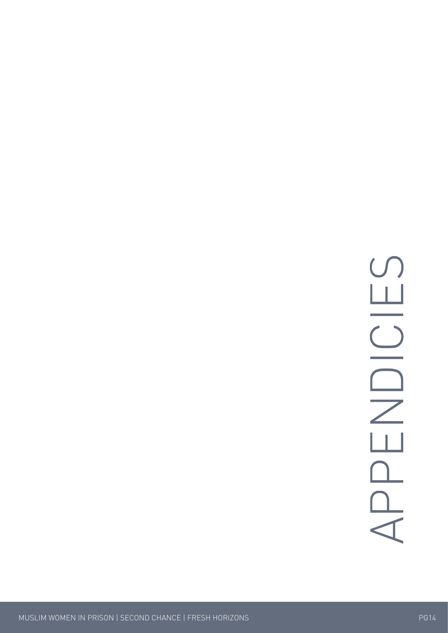## $\blacktriangleleft$  $\Box$  $\Box$  $\Box$  $\boldsymbol{Z}$ DICIE  $\bigcup$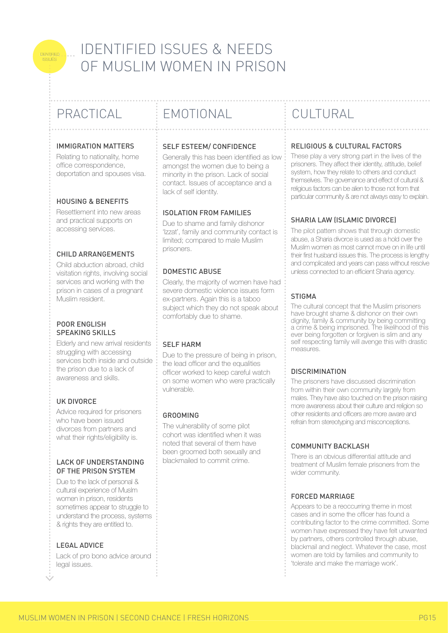## IDENTIFIED ISSUES & NEEDS OF MUSLIM WOMEN IN PRISON

IDENTIFIED ISSUES

#### IMMIGRATION MATTERS

Relating to nationality, home office correspondence, deportation and spouses visa.

#### HOUSING & BENEFITS

Resettlement into new areas and practical supports on accessing services.

#### CHILD ARRANGEMENTS

Child abduction abroad, child visitation rights, involving social services and working with the prison in cases of a pregnant Muslim resident.

#### POOR ENGLISH SPEAKING SKILLS

Elderly and new arrival residents struggling with accessing services both inside and outside the prison due to a lack of awareness and skills.

#### UK DIVORCE

Advice required for prisoners who have been issued divorces from partners and what their rights/eligibility is.

#### LACK OF UNDERSTANDING OF THE PRISON SYSTEM

Due to the lack of personal & cultural experience of Muslm women in prison, residents sometimes appear to struggle to understand the process, systems & rights they are entitled to.

#### LEGAL ADVICE

Lack of pro bono advice around legal issues.

## PRACTICAL EMOTIONAL CULTURAL

#### SELF ESTEEM/ CONFIDENCE

Generally this has been identified as low amongst the women due to being a minority in the prison. Lack of social contact. Issues of acceptance and a lack of self identity.

#### ISOLATION FROM FAMILIES

Due to shame and family dishonor 'Izzat', family and community contact is limited; compared to male Muslim prisoners.

#### DOMESTIC ABUSE

Clearly, the majority of women have had severe domestic violence issues form ex-partners. Again this is a taboo subject which they do not speak about comfortably due to shame.

#### SELF HARM

Due to the pressure of being in prison, the lead officer and the equalities officer worked to keep careful watch on some women who were practically vulnerable.

#### GROOMING

The vulnerability of some pilot cohort was identified when it was noted that several of them have been groomed both sexually and blackmailed to commit crime.

#### RELIGIOUS & CULTURAL FACTORS

These play a very strong part in the lives of the prisoners. They affect their identity, attitude, belief system, how they relate to others and conduct themselves. The governance and effect of cultural & religious factors can be alien to those not from that particular community & are not always easy to explain.

#### SHARIA LAW (ISLAMIC DIVORCE)

The pilot pattern shows that through domestic abuse, a Sharia divorce is used as a hold over the Muslim women as most cannot move on in life until their first husband issues this. The process is lengthy and complicated and years can pass without resolve unless connected to an efficient Sharia agency.

#### **STIGMA**

The cultural concept that the Muslim prisoners have brought shame & dishonor on their own dignity, family & community by being committing a crime & being imprisoned. The likelihood of this ever being forgotten or forgiven is slim and any self respecting family will avenge this with drastic measures.

#### **DISCRIMINATION**

The prisoners have discussed discrimination from within their own community largely from males. They have also touched on the prison raising more awareness about their culture and religion so other residents and officers are more aware and refrain from stereotyping and misconceptions.

#### COMMUNITY BACKLASH

There is an obvious differential attitude and treatment of Muslim female prisoners from the wider community.

#### FORCED MARRIAGE

Appears to be a reoccurring theme in most cases and in some the officer has found a contributing factor to the crime committed. Some women have expressed they have felt unwanted by partners, others controlled through abuse, blackmail and neglect. Whatever the case, most women are told by families and community to 'tolerate and make the marriage work'.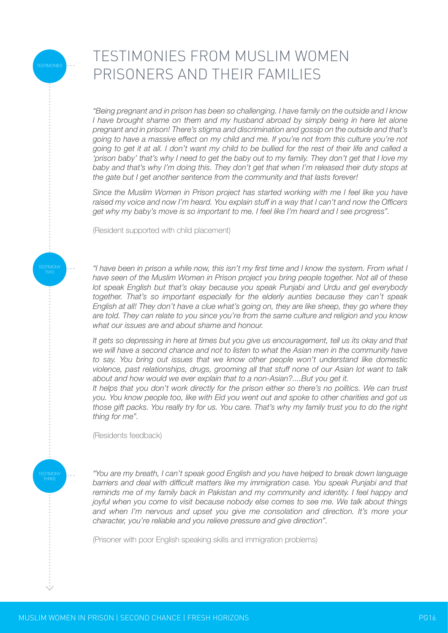## TESTIMONIES FROM MUSLIM WOMEN PRISONERS AND THEIR FAMILIES

*"Being pregnant and in prison has been so challenging. I have family on the outside and I know I have brought shame on them and my husband abroad by simply being in here let alone pregnant and in prison! There's stigma and discrimination and gossip on the outside and that's going to have a massive effect on my child and me. If you're not from this culture you're not going to get it at all. I don't want my child to be bullied for the rest of their life and called a 'prison baby' that's why I need to get the baby out to my family. They don't get that I love my baby and that's why I'm doing this. They don't get that when I'm released their duty stops at the gate but I get another sentence from the community and that lasts forever!*

*Since the Muslim Women in Prison project has started working with me I feel like you have raised my voice and now I'm heard. You explain stuff in a way that I can't and now the Officers get why my baby's move is so important to me. I feel like I'm heard and I see progress".*

(Resident supported with child placement)

TESTIMONY TWO

TESTIMONY

**ESTIMONIES** 

*"I have been in prison a while now, this isn't my first time and I know the system. From what I have seen of the Muslim Women in Prison project you bring people together. Not all of these lot speak English but that's okay because you speak Punjabi and Urdu and gel everybody together. That's so important especially for the elderly aunties because they can't speak English at all! They don't have a clue what's going on, they are like sheep, they go where they are told. They can relate to you since you're from the same culture and religion and you know what our issues are and about shame and honour.* 

*It gets so depressing in here at times but you give us encouragement, tell us its okay and that we will have a second chance and not to listen to what the Asian men in the community have*  to say. You bring out issues that we know other people won't understand like domestic *violence, past relationships, drugs, grooming all that stuff none of our Asian lot want to talk about and how would we ever explain that to a non-Asian?....But you get it.*

It helps that you don't work directly for the prison either so there's no politics. We can trust *you. You know people too, like with Eid you went out and spoke to other charities and got us those gift packs. You really try for us. You care. That's why my family trust you to do the right thing for me".*

(Residents feedback)

*"You are my breath, I can't speak good English and you have helped to break down language barriers and deal with difficult matters like my immigration case. You speak Punjabi and that reminds me of my family back in Pakistan and my community and identity. I feel happy and joyful when you come to visit because nobody else comes to see me. We talk about things and when I'm nervous and upset you give me consolation and direction. It's more your character, you're reliable and you relieve pressure and give direction".*

(Prisoner with poor English speaking skills and immigration problems)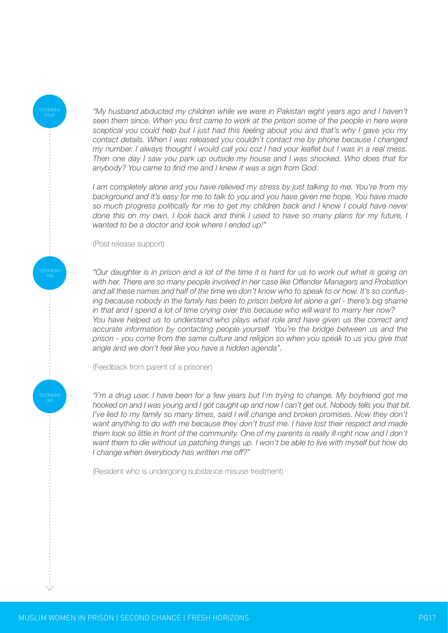*"My husband abducted my children while we were in Pakistan eight years ago and I haven't*  seen them since. When you first came to work at the prison some of the people in here were *sceptical you could help but I just had this feeling about you and that's why I gave you my contact details. When I was released you couldn't contact me by phone because I changed my number. I always thought I would call you coz I had your leaflet but I was in a real mess. Then one day I saw you park up outside my house and I was shocked. Who does that for anybody? You came to find me and I knew it was a sign from God.*

*I am completely alone and you have relieved my stress by just talking to me. You're from my background and it's easy for me to talk to you and you have given me hope. You have made*  so much progress politically for me to get my children back and I know I could have never *done this on my own. I look back and think I used to have so many plans for my future, I wanted to be a doctor and look where I ended up!"*

(Post release support)

TESTIMONY

**TESTIMONY** 

TESTIMONY

*"Our daughter is in prison and a lot of the time it is hard for us to work out what is going on with her. There are so many people involved in her case like Offender Managers and Probation and all these names and half of the time we don't know who to speak to or how. It's so confusing because nobody in the family has been to prison before let alone a girl - there's big shame in that and I spend a lot of time crying over this because who will want to marry her now? You have helped us to understand who plays what role and have given us the correct and accurate information by contacting people yourself. You're the bridge between us and the prison - you come from the same culture and religion so when you speak to us you give that angle and we don't feel like you have a hidden agenda".*

(Feedback from parent of a prisoner)

*"I'm a drug user. I have been for a few years but I'm trying to change. My boyfriend got me hooked on and I was young and I got caught up and now I can't get out. Nobody tells you that bit. I've lied to my family so many times, said I will change and broken promises. Now they don't want anything to do with me because they don't trust me. I have lost their respect and made*  them look so little in front of the community. One of my parents is really ill right now and I don't *want them to die without us patching things up. I won't be able to live with myself but how do I change when everybody has written me off?"*

(Resident who is undergoing substance misuse treatment)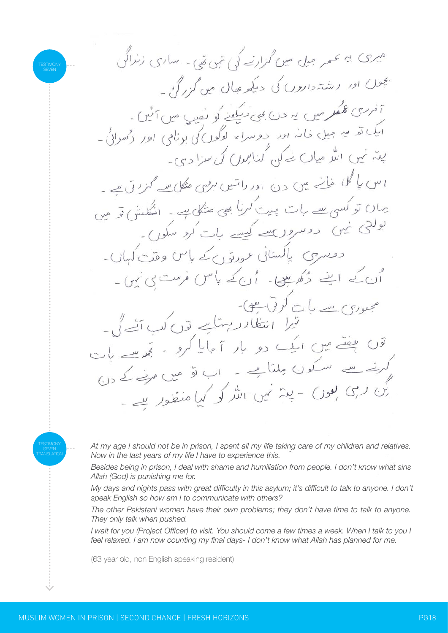TESTIMONY TRANSLATION

Ñ,

TESTIMONY

*At my age I should not be in prison, I spent all my life taking care of my children and relatives. Now in the last years of my life I have to experience this.*

*Besides being in prison, I deal with shame and humiliation from people. I don't know what sins Allah (God) is punishing me for.*

*My days and nights pass with great difficulty in this asylum; it's difficult to talk to anyone. I don't speak English so how am I to communicate with others?*

*The other Pakistani women have their own problems; they don't have time to talk to anyone. They only talk when pushed.*

*I wait for you (Project Officer) to visit. You should come a few times a week. When I talk to you I feel relaxed. I am now counting my final days- I don't know what Allah has planned for me.*

(63 year old, non English speaking resident)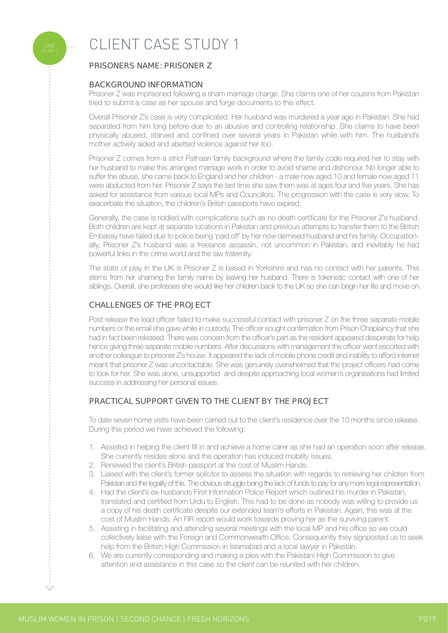

## CLIENT CASE STUDY 1

### PRISONERS NAME: PRISONER Z

#### BACKGROUND INFORMATION

Prisoner Z was imprisoned following a sham marriage charge. She claims one of her cousins from Pakistan tried to submit a case as her spouse and forge documents to this effect.

Overall Prisoner Z's case is very complicated. Her husband was murdered a year ago in Pakistan. She had separated from him long before due to an abusive and controlling relationship. She claims to have been physically abused, starved and confined over several years in Pakistan while with him. The husband's mother actively aided and abetted violence against her too.

Prisoner Z comes from a strict Pathaan family background where the family code required her to stay with her husband to make this arranged marriage work in order to avoid shame and dishonour. No longer able to suffer the abuse, she came back to England and her children - a male now aged 10 and female now aged 11 were abducted from her. Prisoner Z says the last time she saw them was at ages four and five years. She has asked for assistance from various local MPs and Councillors. The progression with the case is very slow. To exacerbate the situation, the children's British passports have expired.

Generally, the case is riddled with complications such as no death certificate for the Prisoner Z's husband. Both children are kept at separate locations in Pakistan and previous attempts to transfer them to the British Embassy have failed due to police being 'paid off' by her now demised husband and his family. Occupationally, Prisoner Z's husband was a freelance assassin, not uncommon in Pakistan, and inevitably he had powerful links in the crime world and the law fraternity.

The state of play in the UK is Prisoner Z is based in Yorkshire and has no contact with her parents. This stems from her shaming the family name by leaving her husband. There is tokenistic contact with one of her siblings. Overall, she professes she would like her children back to the UK so she can begin her life and move on.

#### CHALLENGES OF THE PROJECT

Post release the lead officer failed to make successful contact with prisoner Z on the three separate mobile numbers or the email she gave while in custody. The officer sought confirmation from Prison Chaplaincy that she had in fact been released. There was concern from the officer's part as the resident appeared desperate for help hence giving three separate mobile numbers. After discussions with management the officer went escorted with another colleague to prisoner Z's house. It appeared the lack of mobile phone credit and inability to afford internet meant that prisoner Z was uncontactable. She was genuinely overwhelmed that the project officers had come to look for her. She was alone, unsupported and despite approaching local women's organisations had limited success in addressing her personal issues.

#### PRACTICAL SUPPORT GIVEN TO THE CLIENT BY THE PROJECT

To date seven home visits have been carried out to the client's residence over the 10 months since release. During this period we have achieved the following:

- 1. Assisted in helping the client fill in and achieve a home carer as she had an operation soon after release. She currently resides alone and the operation has induced mobility issues.
- 2. Renewed the client's British passport at the cost of Muslim Hands.
- 3. Liaised with the client's former solicitor to assess the situation with regards to retrieving her children from Pakistan and the legality of this. The obvious struggle being the lack of funds to pay for any more legal representation.
- 4. Had the client's ex-husbands First Information Police Report which outlined his murder in Pakistan, translated and certified from Urdu to English. This had to be done as nobody was willing to provide us a copy of his death certificate despite our extended team's efforts in Pakistan. Again, this was at the cost of Muslim Hands. An FIR report would work towards proving her as the surviving parent.
- 5. Assisting in facilitating and attending several meetings with the local MP and his office so we could collectively liaise with the Foreign and Commonwealth Office. Consequently they signposted us to seek help from the British High Commission in Islamabad and a local lawyer in Pakistan.
- 6. We are currently corresponding and making a plea with the Pakistani High Commission to give attention and assistance in this case so the client can be reunited with her children.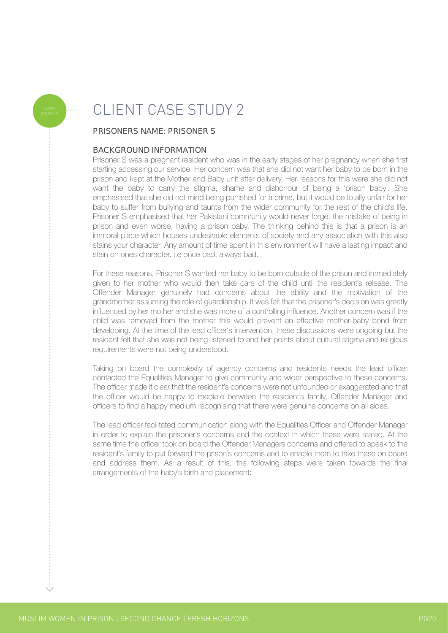## CLIENT CASE STUDY 2

#### PRISONERS NAME: PRISONER S

#### BACKGROUND INFORMATION

Prisoner S was a pregnant resident who was in the early stages of her pregnancy when she first starting accessing our service. Her concern was that she did not want her baby to be born in the prison and kept at the Mother and Baby unit after delivery. Her reasons for this were she did not want the baby to carry the stigma, shame and dishonour of being a 'prison baby'. She emphasised that she did not mind being punished for a crime, but it would be totally unfair for her baby to suffer from bullying and taunts from the wider community for the rest of the child's life. Prisoner S emphasised that her Pakistani community would never forget the mistake of being in prison and even worse, having a prison baby. The thinking behind this is that a prison is an immoral place which houses undesirable elements of society and any association with this also stains your character. Any amount of time spent in this environment will have a lasting impact and stain on ones character. i.e once bad, always bad.

For these reasons, Prisoner S wanted her baby to be born outside of the prison and immediately given to her mother who would then take care of the child until the resident's release. The Offender Manager genuinely had concerns about the ability and the motivation of the grandmother assuming the role of guardianship. It was felt that the prisoner's decision was greatly influenced by her mother and she was more of a controlling influence. Another concern was if the child was removed from the mother this would prevent an effective mother-baby bond from developing. At the time of the lead officer's intervention, these discussions were ongoing but the resident felt that she was not being listened to and her points about cultural stigma and religious requirements were not being understood.

Taking on board the complexity of agency concerns and residents needs the lead officer contacted the Equalities Manager to give community and wider perspective to these concerns. The officer made it clear that the resident's concerns were not unfounded or exaggerated and that the officer would be happy to mediate between the resident's family, Offender Manager and officers to find a happy medium recognising that there were genuine concerns on all sides.

The lead officer facilitated communication along with the Equalities Officer and Offender Manager in order to explain the prisoner's concerns and the context in which these were stated. At the same time the officer took on board the Offender Managers concerns and offered to speak to the resident's family to put forward the prison's concerns and to enable them to take these on board and address them. As a result of this, the following steps were taken towards the final arrangements of the baby's birth and placement: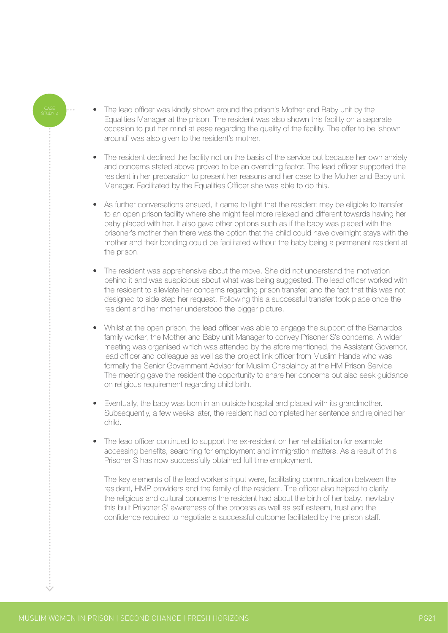- The lead officer was kindly shown around the prison's Mother and Baby unit by the Equalities Manager at the prison. The resident was also shown this facility on a separate occasion to put her mind at ease regarding the quality of the facility. The offer to be 'shown around' was also given to the resident's mother.
- The resident declined the facility not on the basis of the service but because her own anxiety and concerns stated above proved to be an overriding factor. The lead officer supported the resident in her preparation to present her reasons and her case to the Mother and Baby unit Manager. Facilitated by the Equalities Officer she was able to do this.
- As further conversations ensued, it came to light that the resident may be eligible to transfer to an open prison facility where she might feel more relaxed and different towards having her baby placed with her. It also gave other options such as if the baby was placed with the prisoner's mother then there was the option that the child could have overnight stays with the mother and their bonding could be facilitated without the baby being a permanent resident at the prison.
- The resident was apprehensive about the move. She did not understand the motivation behind it and was suspicious about what was being suggested. The lead officer worked with the resident to alleviate her concerns regarding prison transfer, and the fact that this was not designed to side step her request. Following this a successful transfer took place once the resident and her mother understood the bigger picture.
- Whilst at the open prison, the lead officer was able to engage the support of the Barnardos family worker, the Mother and Baby unit Manager to convey Prisoner S's concerns. A wider meeting was organised which was attended by the afore mentioned, the Assistant Governor, lead officer and colleague as well as the project link officer from Muslim Hands who was formally the Senior Government Advisor for Muslim Chaplaincy at the HM Prison Service. The meeting gave the resident the opportunity to share her concerns but also seek guidance on religious requirement regarding child birth.
- Eventually, the baby was born in an outside hospital and placed with its grandmother. Subsequently, a few weeks later, the resident had completed her sentence and rejoined her child.
- The lead officer continued to support the ex-resident on her rehabilitation for example accessing benefits, searching for employment and immigration matters. As a result of this Prisoner S has now successfully obtained full time employment.

 The key elements of the lead worker's input were, facilitating communication between the resident, HMP providers and the family of the resident. The officer also helped to clarify the religious and cultural concerns the resident had about the birth of her baby. Inevitably this built Prisoner S' awareness of the process as well as self esteem, trust and the confidence required to negotiate a successful outcome facilitated by the prison staff.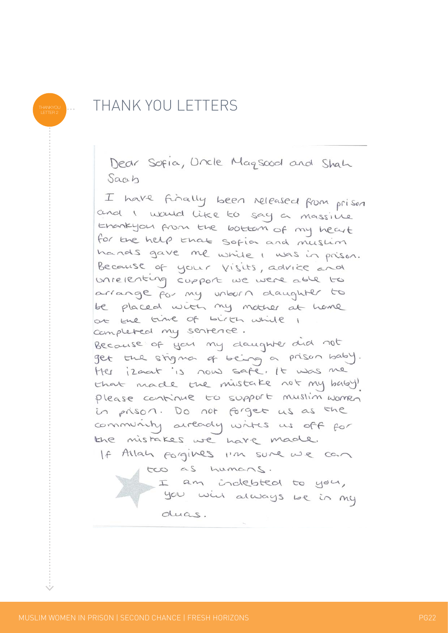### THANK YOU LETTERS

Dear Sofia, Uncle Magsood and Shah Saah

I have finally been released from prison and I would like to say a massive Ehankyou from the bottom of my heart for the help that sofion and muslim hands gave me while I was in prison. Because of your visits, advice and unrelenting support we were able to arrange for my unborn daughter to be placed with my mother at heme at the time of birth while 1 completed my sentence. Because of you my daughter did not get the stigman of being a prison baby. Her izaat is now safe, It was me that made the mistake not my baby! please continue to support muslim women in prison. Do not forget us as the community arready withs us off for the mistakes we have made. If Allah forgives i'm sure we can two as humans.

I am indebted to you, you will always be in my duas.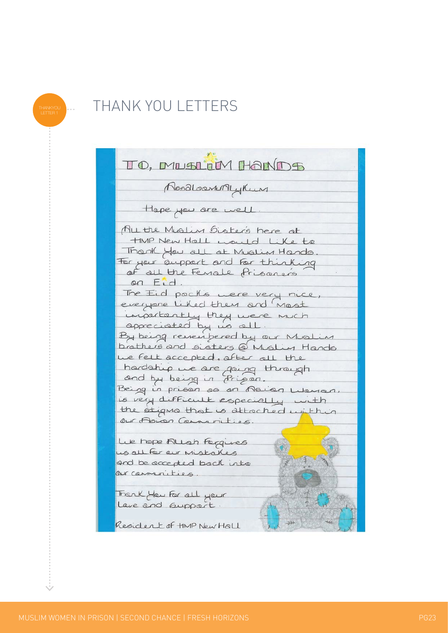## THANK YOU LETTERS

| TO, MUSLIM HANDS                                                     |  |
|----------------------------------------------------------------------|--|
| NoodloanMyKun                                                        |  |
| Hape you are well                                                    |  |
| All the Muslim Disters here at                                       |  |
| HMP New Hall would like to                                           |  |
| Thank you all at Muslim Hands                                        |  |
| For your support and for thinking                                    |  |
| of all the Fenale Prisoners                                          |  |
| on Eid                                                               |  |
| The Eid packs were very nice,                                        |  |
| everyone liked them and most                                         |  |
| importantly they were much                                           |  |
| appreciated by us all.                                               |  |
| By being remembered by our Mislin                                    |  |
| brathers and sisters @ Mislim Hands                                  |  |
| we felt accepted, after all the                                      |  |
| hardship we are going through                                        |  |
| and by being in Prison.                                              |  |
| Being in prison as an Asian Lieuran.                                 |  |
| is very difficult especially with                                    |  |
| the stigms that is attached unithin                                  |  |
| Our Asian Communities.                                               |  |
|                                                                      |  |
| Lue hope Allah Forgues                                               |  |
| us all for our mistakes                                              |  |
| and be accepted back into                                            |  |
| OUT CONTUNITIES.                                                     |  |
|                                                                      |  |
| Frank Hew For all your<br>王王子                                        |  |
| Leve and Guppart.                                                    |  |
| $\frac{1}{\sqrt{1+\frac{1}{2}}}$<br>446<br>Resident of tIMP New Hall |  |

..................................